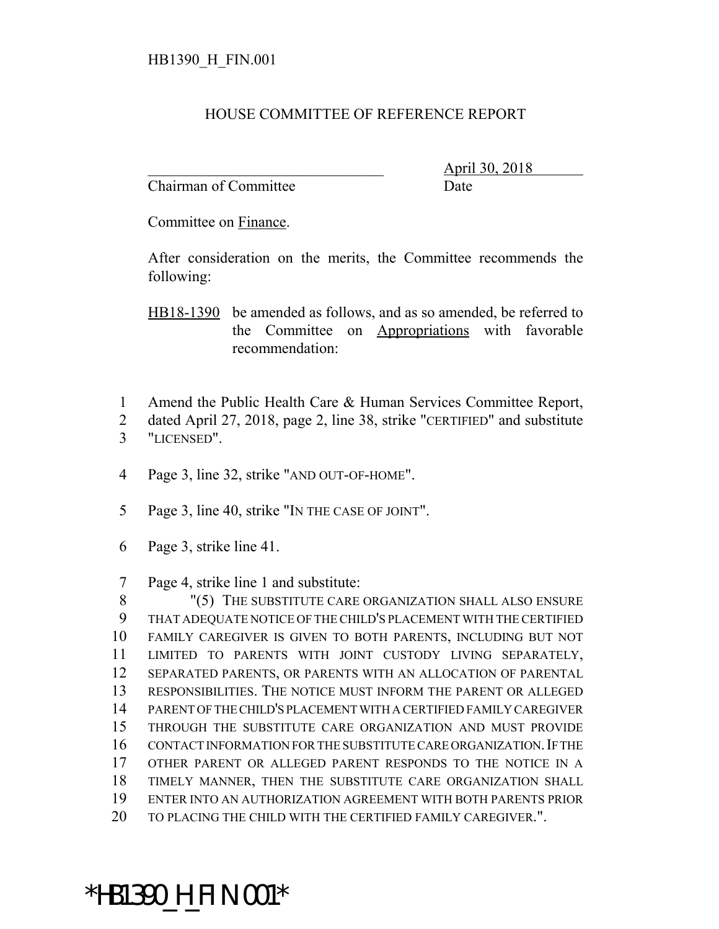## HOUSE COMMITTEE OF REFERENCE REPORT

Chairman of Committee Date

\_\_\_\_\_\_\_\_\_\_\_\_\_\_\_\_\_\_\_\_\_\_\_\_\_\_\_\_\_\_\_ April 30, 2018

Committee on Finance.

After consideration on the merits, the Committee recommends the following:

HB18-1390 be amended as follows, and as so amended, be referred to the Committee on Appropriations with favorable recommendation:

- 1 Amend the Public Health Care & Human Services Committee Report,
- 2 dated April 27, 2018, page 2, line 38, strike "CERTIFIED" and substitute 3 "LICENSED".
- 4 Page 3, line 32, strike "AND OUT-OF-HOME".
- 5 Page 3, line 40, strike "IN THE CASE OF JOINT".
- 6 Page 3, strike line 41.
- 7 Page 4, strike line 1 and substitute:

8 "(5) THE SUBSTITUTE CARE ORGANIZATION SHALL ALSO ENSURE THAT ADEQUATE NOTICE OF THE CHILD'S PLACEMENT WITH THE CERTIFIED FAMILY CAREGIVER IS GIVEN TO BOTH PARENTS, INCLUDING BUT NOT LIMITED TO PARENTS WITH JOINT CUSTODY LIVING SEPARATELY, SEPARATED PARENTS, OR PARENTS WITH AN ALLOCATION OF PARENTAL RESPONSIBILITIES. THE NOTICE MUST INFORM THE PARENT OR ALLEGED PARENT OF THE CHILD'S PLACEMENT WITH A CERTIFIED FAMILY CAREGIVER THROUGH THE SUBSTITUTE CARE ORGANIZATION AND MUST PROVIDE CONTACT INFORMATION FOR THE SUBSTITUTE CARE ORGANIZATION.IF THE OTHER PARENT OR ALLEGED PARENT RESPONDS TO THE NOTICE IN A TIMELY MANNER, THEN THE SUBSTITUTE CARE ORGANIZATION SHALL ENTER INTO AN AUTHORIZATION AGREEMENT WITH BOTH PARENTS PRIOR 20 TO PLACING THE CHILD WITH THE CERTIFIED FAMILY CAREGIVER.".

## \*HB1390\_H\_FIN.001\*